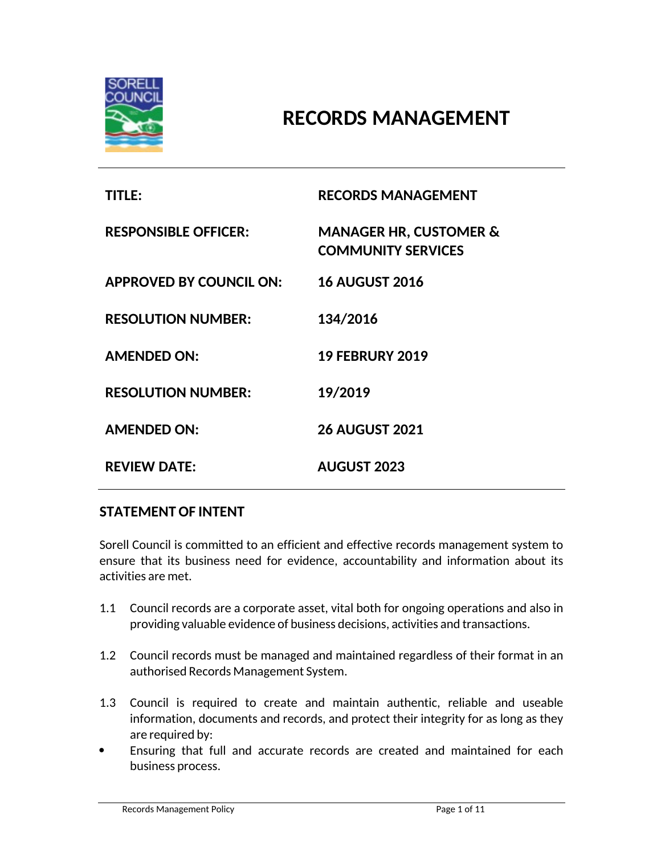

# **RECORDS MANAGEMENT**

| <b>TITLE:</b>                  | <b>RECORDS MANAGEMENT</b>                                      |
|--------------------------------|----------------------------------------------------------------|
| <b>RESPONSIBLE OFFICER:</b>    | <b>MANAGER HR, CUSTOMER &amp;</b><br><b>COMMUNITY SERVICES</b> |
| <b>APPROVED BY COUNCIL ON:</b> | <b>16 AUGUST 2016</b>                                          |
| <b>RESOLUTION NUMBER:</b>      | 134/2016                                                       |
| <b>AMENDED ON:</b>             | <b>19 FEBRURY 2019</b>                                         |
| <b>RESOLUTION NUMBER:</b>      | 19/2019                                                        |
| <b>AMENDED ON:</b>             | <b>26 AUGUST 2021</b>                                          |
| <b>REVIEW DATE:</b>            | <b>AUGUST 2023</b>                                             |

# **STATEMENT OF INTENT**

Sorell Council is committed to an efficient and effective records management system to ensure that its business need for evidence, accountability and information about its activities are met.

- 1.1 Council records are a corporate asset, vital both for ongoing operations and also in providing valuable evidence of business decisions, activities and transactions.
- 1.2 Council records must be managed and maintained regardless of their format in an authorised Records Management System.
- 1.3 Council is required to create and maintain authentic, reliable and useable information, documents and records, and protect their integrity for as long as they are required by:
- Ensuring that full and accurate records are created and maintained for each business process.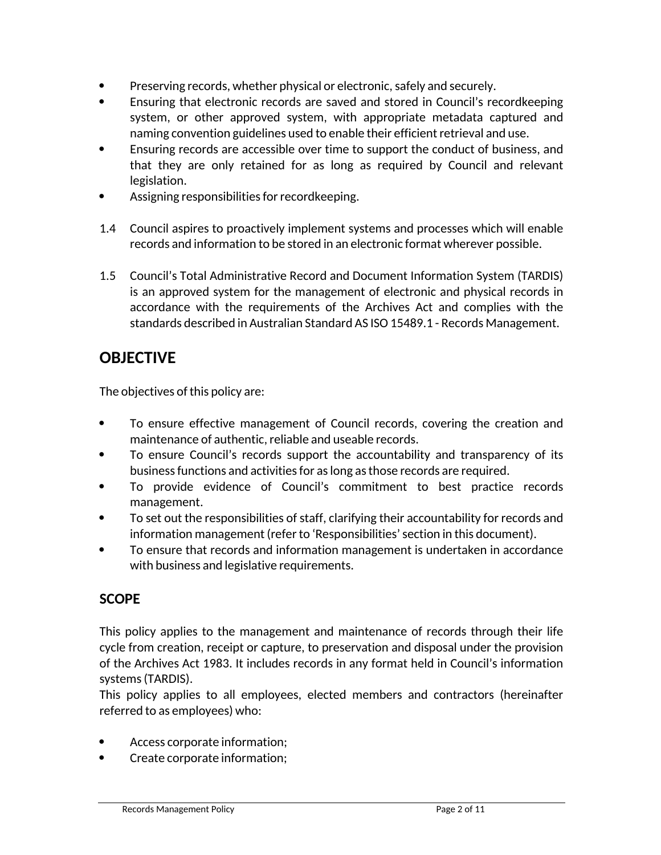- Preserving records, whether physical or electronic, safely and securely.
- Ensuring that electronic records are saved and stored in Council's recordkeeping system, or other approved system, with appropriate metadata captured and naming convention guidelines used to enable their efficient retrieval and use.
- Ensuring records are accessible over time to support the conduct of business, and that they are only retained for as long as required by Council and relevant legislation.
- Assigning responsibilities for recordkeeping.
- 1.4 Council aspires to proactively implement systems and processes which will enable records and information to be stored in an electronic format wherever possible.
- 1.5 Council's Total Administrative Record and Document Information System (TARDIS) is an approved system for the management of electronic and physical records in accordance with the requirements of the Archives Act and complies with the standards described in Australian Standard AS ISO 15489.1 - Records Management.

# **OBJECTIVE**

The objectives of this policy are:

- To ensure effective management of Council records, covering the creation and maintenance of authentic, reliable and useable records.
- To ensure Council's records support the accountability and transparency of its business functions and activities for as long as those records are required.
- To provide evidence of Council's commitment to best practice records management.
- To set out the responsibilities of staff, clarifying their accountability for records and information management (refer to 'Responsibilities' section in this document).
- To ensure that records and information management is undertaken in accordance with business and legislative requirements.

# **SCOPE**

This policy applies to the management and maintenance of records through their life cycle from creation, receipt or capture, to preservation and disposal under the provision of the Archives Act 1983. It includes records in any format held in Council's information systems (TARDIS).

This policy applies to all employees, elected members and contractors (hereinafter referred to as employees) who:

- Access corporate information;
- Create corporate information;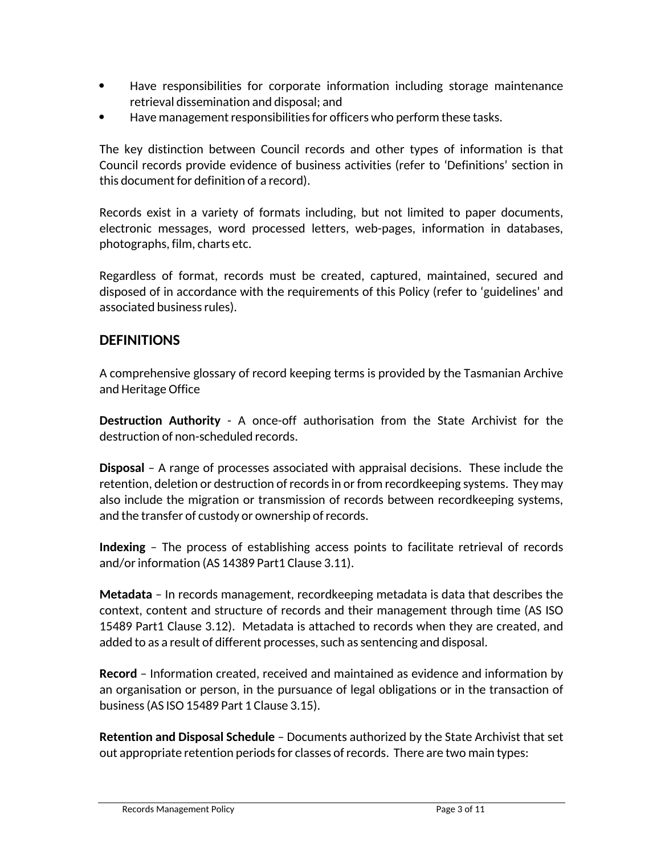- Have responsibilities for corporate information including storage maintenance retrieval dissemination and disposal; and
- Have management responsibilities for officers who perform these tasks.

The key distinction between Council records and other types of information is that Council records provide evidence of business activities (refer to 'Definitions' section in this document for definition of a record).

Records exist in a variety of formats including, but not limited to paper documents, electronic messages, word processed letters, web-pages, information in databases, photographs, film, charts etc.

Regardless of format, records must be created, captured, maintained, secured and disposed of in accordance with the requirements of this Policy (refer to 'guidelines' and associated business rules).

# **DEFINITIONS**

A comprehensive glossary of record keeping terms is provided by the Tasmanian Archive and Heritage Office

**Destruction Authority** - A once-off authorisation from the State Archivist for the destruction of non-scheduled records.

**Disposal** – A range of processes associated with appraisal decisions. These include the retention, deletion or destruction of records in or from recordkeeping systems. They may also include the migration or transmission of records between recordkeeping systems, and the transfer of custody or ownership of records.

**Indexing** – The process of establishing access points to facilitate retrieval of records and/or information (AS 14389 Part1 Clause 3.11).

**Metadata** – In records management, recordkeeping metadata is data that describes the context, content and structure of records and their management through time (AS ISO 15489 Part1 Clause 3.12). Metadata is attached to records when they are created, and added to as a result of different processes, such as sentencing and disposal.

**Record** – Information created, received and maintained as evidence and information by an organisation or person, in the pursuance of legal obligations or in the transaction of business (AS ISO 15489 Part 1 Clause 3.15).

**Retention and Disposal Schedule** – Documents authorized by the State Archivist that set out appropriate retention periods for classes of records. There are two main types: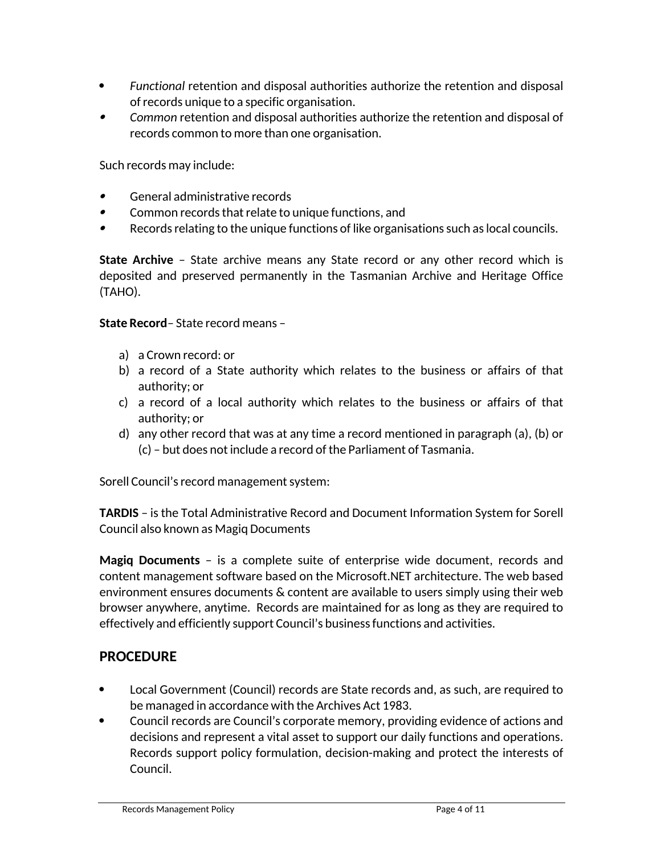- *Functional* retention and disposal authorities authorize the retention and disposal of records unique to a specific organisation.
- $\bullet$  *Common* retention and disposal authorities authorize the retention and disposal of records common to more than one organisation.

Such records may include:

- $\bullet$ General administrative records
- $\bullet$ Common records that relate to unique functions, and
- . Records relating to the unique functions of like organisations such as local councils.

**State Archive** – State archive means any State record or any other record which is deposited and preserved permanently in the Tasmanian Archive and Heritage Office (TAHO).

**State Record**– State record means –

- a) a Crown record: or
- b) a record of a State authority which relates to the business or affairs of that authority; or
- c) a record of a local authority which relates to the business or affairs of that authority; or
- d) any other record that was at any time a record mentioned in paragraph (a), (b) or (c) – but does not include a record of the Parliament of Tasmania.

Sorell Council's record management system:

**TARDIS** – is the Total Administrative Record and Document Information System for Sorell Council also known as Magiq Documents

**Magiq Documents** – is a complete suite of enterprise wide document, records and content management software based on the Microsoft.NET architecture. The web based environment ensures documents & content are available to users simply using their web browser anywhere, anytime. Records are maintained for as long as they are required to effectively and efficiently support Council's business functions and activities.

# **PROCEDURE**

- Local Government (Council) records are State records and, as such, are required to be managed in accordance with the Archives Act 1983.
- Council records are Council's corporate memory, providing evidence of actions and decisions and represent a vital asset to support our daily functions and operations. Records support policy formulation, decision-making and protect the interests of Council.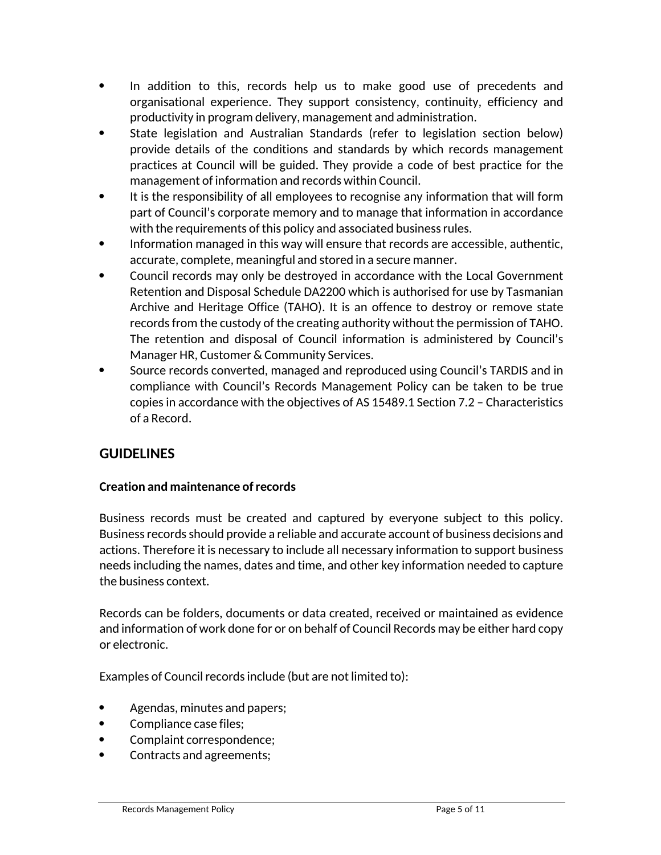- In addition to this, records help us to make good use of precedents and organisational experience. They support consistency, continuity, efficiency and productivity in program delivery, management and administration.
- State legislation and Australian Standards (refer to legislation section below) provide details of the conditions and standards by which records management practices at Council will be guided. They provide a code of best practice for the management of information and records within Council.
- It is the responsibility of all employees to recognise any information that will form part of Council's corporate memory and to manage that information in accordance with the requirements of this policy and associated business rules.
- Information managed in this way will ensure that records are accessible, authentic, accurate, complete, meaningful and stored in a secure manner.
- Council records may only be destroyed in accordance with the Local Government Retention and Disposal Schedule DA2200 which is authorised for use by Tasmanian Archive and Heritage Office (TAHO). It is an offence to destroy or remove state records from the custody of the creating authority without the permission of TAHO. The retention and disposal of Council information is administered by Council's Manager HR, Customer & Community Services.
- Source records converted, managed and reproduced using Council's TARDIS and in compliance with Council's Records Management Policy can be taken to be true copies in accordance with the objectives of AS 15489.1 Section 7.2 – Characteristics of a Record.

# **GUIDELINES**

#### **Creation and maintenance of records**

Business records must be created and captured by everyone subject to this policy. Business records should provide a reliable and accurate account of business decisions and actions. Therefore it is necessary to include all necessary information to support business needs including the names, dates and time, and other key information needed to capture the business context.

Records can be folders, documents or data created, received or maintained as evidence and information of work done for or on behalf of Council Records may be either hard copy or electronic.

Examples of Council records include (but are not limited to):

- Agendas, minutes and papers;
- Compliance case files;
- Complaint correspondence;
- Contracts and agreements;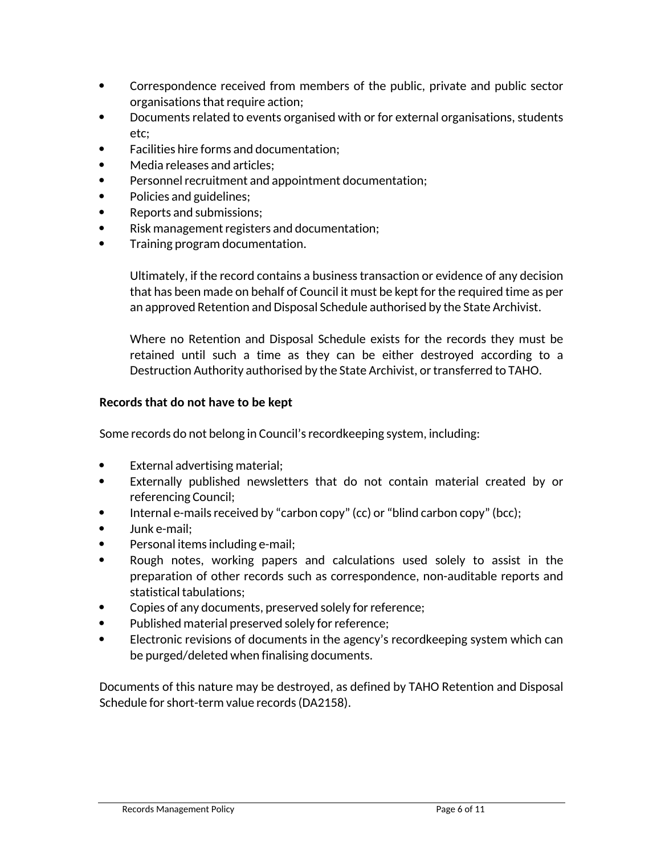- Correspondence received from members of the public, private and public sector organisations that require action;
- Documents related to events organised with or for external organisations, students etc;
- Facilities hire forms and documentation;
- Media releases and articles;
- Personnel recruitment and appointment documentation;
- Policies and guidelines;
- Reports and submissions;
- Risk management registers and documentation;
- Training program documentation.

Ultimately, if the record contains a business transaction or evidence of any decision that has been made on behalf of Council it must be kept for the required time as per an approved Retention and Disposal Schedule authorised by the State Archivist.

Where no Retention and Disposal Schedule exists for the records they must be retained until such a time as they can be either destroyed according to a Destruction Authority authorised by the State Archivist, or transferred to TAHO.

#### **Records that do not have to be kept**

Some records do not belong in Council's recordkeeping system, including:

- External advertising material;
- Externally published newsletters that do not contain material created by or referencing Council;
- Internal e-mails received by "carbon copy" (cc) or "blind carbon copy" (bcc);
- Junk e-mail;
- Personal items including e-mail;
- Rough notes, working papers and calculations used solely to assist in the preparation of other records such as correspondence, non-auditable reports and statistical tabulations;
- Copies of any documents, preserved solely for reference;
- Published material preserved solely for reference;
- Electronic revisions of documents in the agency's recordkeeping system which can be purged/deleted when finalising documents.

Documents of this nature may be destroyed, as defined by TAHO Retention and Disposal Schedule for short-term value records (DA2158).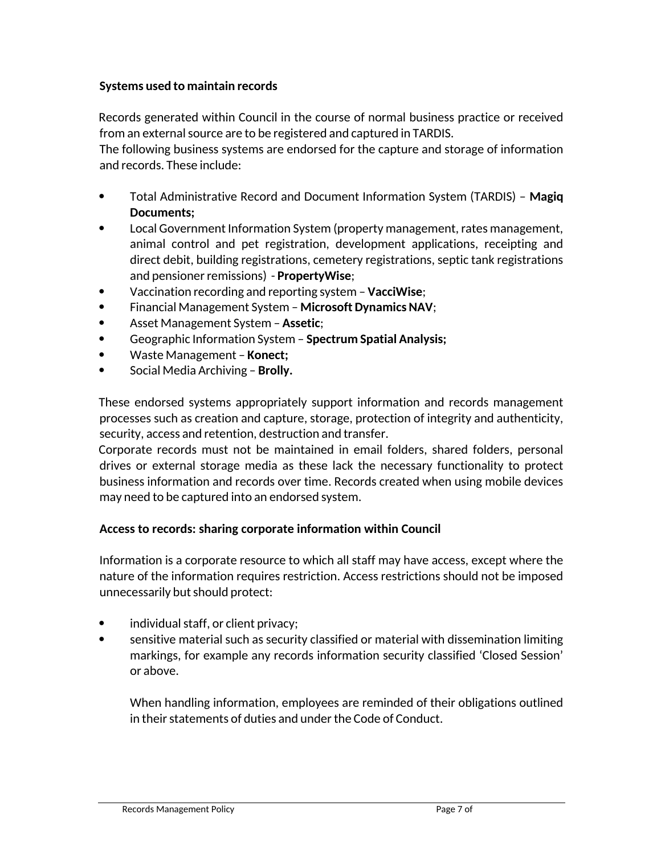#### **Systems used to maintain records**

Records generated within Council in the course of normal business practice or received from an external source are to be registered and captured in TARDIS.

The following business systems are endorsed for the capture and storage of information and records. These include:

- Total Administrative Record and Document Information System (TARDIS) **Magiq Documents;**
- Local Government Information System (property management, rates management, animal control and pet registration, development applications, receipting and direct debit, building registrations, cemetery registrations, septic tank registrations and pensioner remissions) - **PropertyWise**;
- Vaccination recording and reporting system **VacciWise**;
- Financial Management System **Microsoft Dynamics NAV**;
- Asset Management System **Assetic**;
- Geographic Information System **Spectrum Spatial Analysis;**
- Waste Management **Konect;**
- Social Media Archiving **Brolly.**

These endorsed systems appropriately support information and records management processes such as creation and capture, storage, protection of integrity and authenticity, security, access and retention, destruction and transfer.

Corporate records must not be maintained in email folders, shared folders, personal drives or external storage media as these lack the necessary functionality to protect business information and records over time. Records created when using mobile devices may need to be captured into an endorsed system.

#### **Access to records: sharing corporate information within Council**

Information is a corporate resource to which all staff may have access, except where the nature of the information requires restriction. Access restrictions should not be imposed unnecessarily but should protect:

- individual staff, or client privacy;
- sensitive material such as security classified or material with dissemination limiting markings, for example any records information security classified 'Closed Session' or above.

When handling information, employees are reminded of their obligations outlined in their statements of duties and under the Code of Conduct.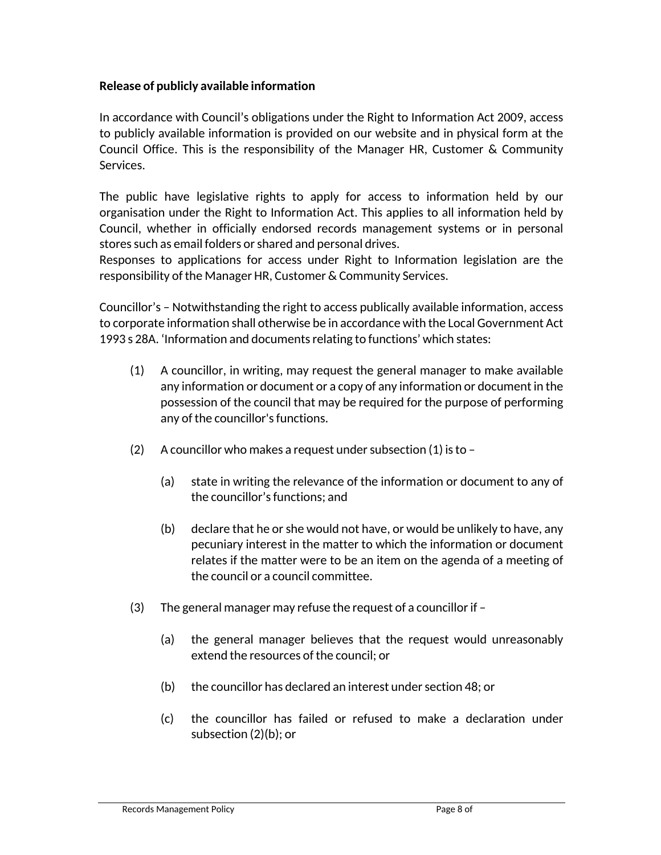#### **Release of publicly available information**

In accordance with Council's obligations under the Right to Information Act 2009, access to publicly available information is provided on our website and in physical form at the Council Office. This is the responsibility of the Manager HR, Customer & Community Services.

The public have legislative rights to apply for access to information held by our organisation under the Right to Information Act. This applies to all information held by Council, whether in officially endorsed records management systems or in personal stores such as email folders or shared and personal drives.

Responses to applications for access under Right to Information legislation are the responsibility of the Manager HR, Customer & Community Services.

Councillor's – Notwithstanding the right to access publically available information, access to corporate information shall otherwise be in accordance with the Local Government Act 1993 s 28A. 'Information and documents relating to functions' which states:

- (1) A councillor, in writing, may request the general manager to make available any information or document or a copy of any information or document in the possession of the council that may be required for the purpose of performing any of the councillor's functions.
- (2) A councillor who makes a request under subsection  $(1)$  is to
	- (a) state in writing the relevance of the information or document to any of the councillor's functions; and
	- (b) declare that he or she would not have, or would be unlikely to have, any pecuniary interest in the matter to which the information or document relates if the matter were to be an item on the agenda of a meeting of the council or a council committee.
- (3) The general manager may refuse the request of a councillor if
	- (a) the general manager believes that the request would unreasonably extend the resources of the council; or
	- (b) the councillor has declared an interest under section 48; or
	- (c) the councillor has failed or refused to make a declaration under subsection (2)(b); or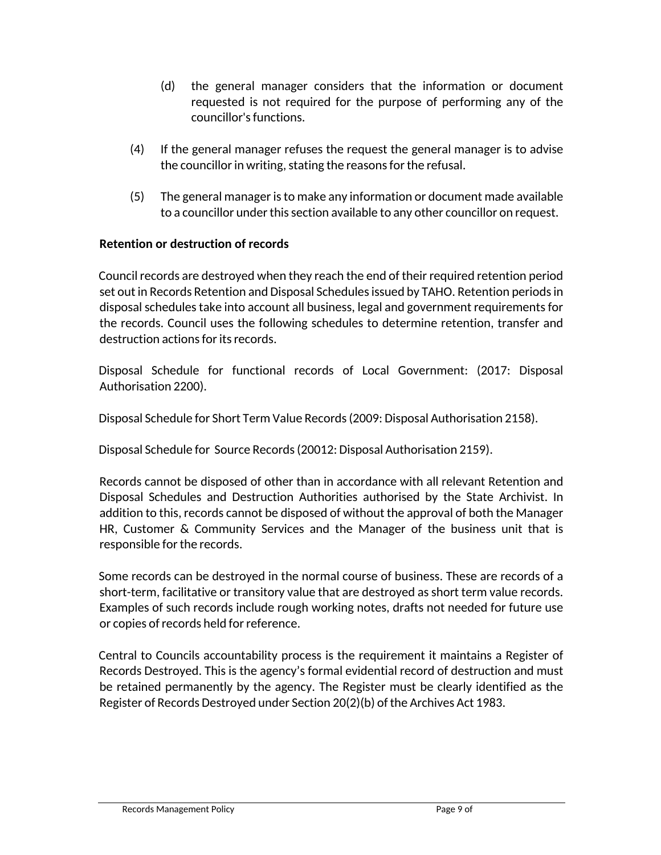- (d) the general manager considers that the information or document requested is not required for the purpose of performing any of the councillor's functions.
- (4) If the general manager refuses the request the general manager is to advise the councillor in writing, stating the reasons for the refusal.
- (5) The general manager is to make any information or document made available to a councillor under this section available to any other councillor on request.

#### **Retention or destruction of records**

Council records are destroyed when they reach the end of their required retention period set out in Records Retention and Disposal Schedules issued by TAHO. Retention periods in disposal schedules take into account all business, legal and government requirements for the records. Council uses the following schedules to determine retention, transfer and destruction actions for its records.

Disposal Schedule for functional records of Local Government: (2017: Disposal Authorisation 2200).

Disposal Schedule for Short Term Value Records (2009: Disposal Authorisation 2158).

Disposal Schedule for Source Records (20012: Disposal Authorisation 2159).

Records cannot be disposed of other than in accordance with all relevant Retention and Disposal Schedules and Destruction Authorities authorised by the State Archivist. In addition to this, records cannot be disposed of without the approval of both the Manager HR, Customer & Community Services and the Manager of the business unit that is responsible for the records.

Some records can be destroyed in the normal course of business. These are records of a short-term, facilitative or transitory value that are destroyed as short term value records. Examples of such records include rough working notes, drafts not needed for future use or copies of records held for reference.

Central to Councils accountability process is the requirement it maintains a Register of Records Destroyed. This is the agency's formal evidential record of destruction and must be retained permanently by the agency. The Register must be clearly identified as the Register of Records Destroyed under Section 20(2)(b) of the Archives Act 1983.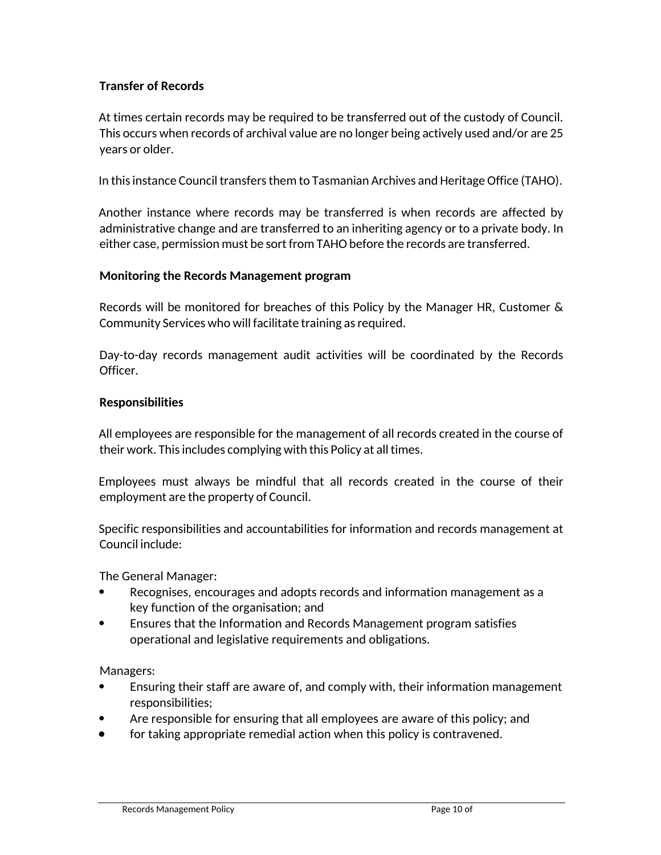#### **Transfer of Records**

At times certain records may be required to be transferred out of the custody of Council. This occurs when records of archival value are no longer being actively used and/or are 25 years or older.

In this instance Council transfers them to Tasmanian Archives and Heritage Office (TAHO).

Another instance where records may be transferred is when records are affected by administrative change and are transferred to an inheriting agency or to a private body. In either case, permission must be sort from TAHO before the records are transferred.

#### **Monitoring the Records Management program**

Records will be monitored for breaches of this Policy by the Manager HR, Customer & Community Services who will facilitate training as required.

Day-to-day records management audit activities will be coordinated by the Records Officer.

#### **Responsibilities**

All employees are responsible for the management of all records created in the course of their work. This includes complying with this Policy at all times.

Employees must always be mindful that all records created in the course of their employment are the property of Council.

Specific responsibilities and accountabilities for information and records management at Council include:

The General Manager:

- Recognises, encourages and adopts records and information management as a key function of the organisation; and
- Ensures that the Information and Records Management program satisfies operational and legislative requirements and obligations.

Managers:

- Ensuring their staff are aware of, and comply with, their information management responsibilities;
- Are responsible for ensuring that all employees are aware of this policy; and
- for taking appropriate remedial action when this policy is contravened.